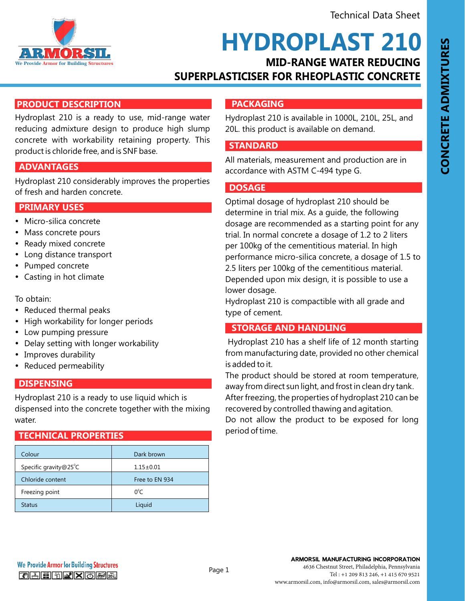

# **MID-RANGE WATER REDUCING HYDROPLAST 210**

# **SUPERPLASTICISER FOR RHEOPLASTIC CONCRETE**

# **PRODUCT DESCRIPTION**

Hydroplast 210 is a ready to use, mid-range water reducing admixture design to produce high slump concrete with workability retaining property. This product is chloride free, and is SNF base.

### **FEATURES AND BENEFITS ADVANTAGES**

Hydroplast 210 considerably improves the properties of fresh and harden concrete.

#### **FRIMARY USES**

- Micro-silica concrete
- Mass concrete pours
- Ready mixed concrete
- Long distance transport
- Pumped concrete
- Casting in hot climate

To obtain:

- Reduced thermal peaks
- High workability for longer periods
- Low pumping pressure
- Delay setting with longer workability
- Improves durability
- Reduced permeability

#### **FEATURES AND BENEFITS**

Hydroplast 210 is a ready to use liquid which is dispensed into the concrete together with the mixing water.

### **TECHNICAL PROPERTIES**

| Colour                | Dark brown      |
|-----------------------|-----------------|
| Specific gravity@25°C | $1.15 \pm 0.01$ |
| Chloride content      | Free to EN 934  |
| Freezing point        | $0^{\circ}$ C   |
| <b>Status</b>         | Liquid          |

# **FACKAGING**

Hydroplast 210 is available in 1000L, 210L, 25L, and 20L. this product is available on demand.

#### **FEATURES AND BENEFITS**

All materials, measurement and production are in accordance with ASTM C-494 type G.

#### **FEATURES AND BENEFITS DOSAGE**

Optimal dosage of hydroplast 210 should be determine in trial mix. As a guide, the following dosage are recommended as a starting point for any trial. In normal concrete a dosage of 1.2 to 2 liters per 100kg of the cementitious material. In high performance micro-silica concrete, a dosage of 1.5 to 2.5 liters per 100kg of the cementitious material. Depended upon mix design, it is possible to use a lower dosage.

Hydroplast 210 is compactible with all grade and type of cement.

## **STORAGE AND HANDLING**

Hydroplast 210 has a shelf life of 12 month starting from manufacturing date, provided no other chemical is added to it.

The product should be stored at room temperature, away from direct sun light, and frost in clean dry tank.

After freezing, the properties of hydroplast 210 can be recovered by controlled thawing and agitation.

Do not allow the product to be exposed for long period of time.